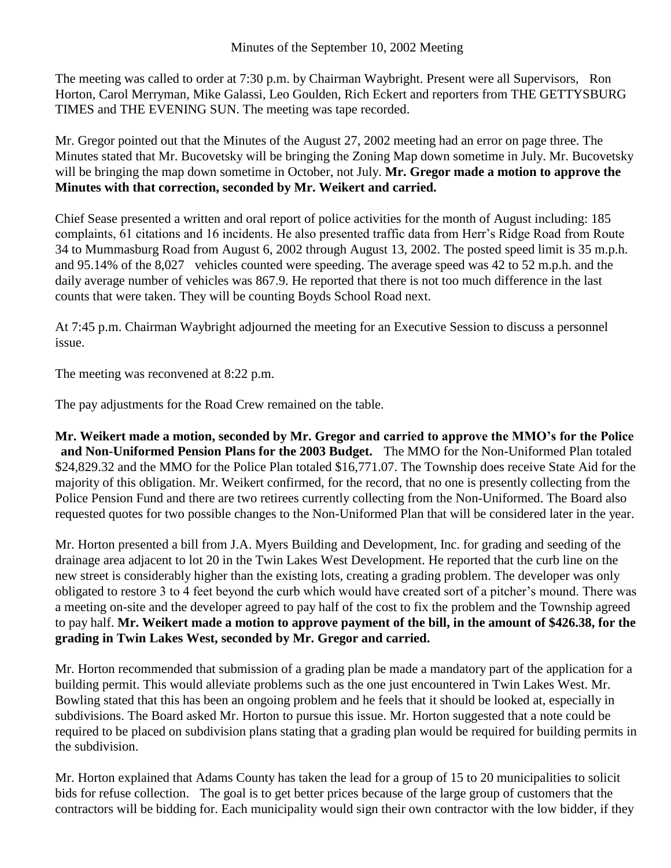The meeting was called to order at 7:30 p.m. by Chairman Waybright. Present were all Supervisors, Ron Horton, Carol Merryman, Mike Galassi, Leo Goulden, Rich Eckert and reporters from THE GETTYSBURG TIMES and THE EVENING SUN. The meeting was tape recorded.

Mr. Gregor pointed out that the Minutes of the August 27, 2002 meeting had an error on page three. The Minutes stated that Mr. Bucovetsky will be bringing the Zoning Map down sometime in July. Mr. Bucovetsky will be bringing the map down sometime in October, not July. **Mr. Gregor made a motion to approve the Minutes with that correction, seconded by Mr. Weikert and carried.**

Chief Sease presented a written and oral report of police activities for the month of August including: 185 complaints, 61 citations and 16 incidents. He also presented traffic data from Herr's Ridge Road from Route 34 to Mummasburg Road from August 6, 2002 through August 13, 2002. The posted speed limit is 35 m.p.h. and 95.14% of the 8,027 vehicles counted were speeding. The average speed was 42 to 52 m.p.h. and the daily average number of vehicles was 867.9. He reported that there is not too much difference in the last counts that were taken. They will be counting Boyds School Road next.

At 7:45 p.m. Chairman Waybright adjourned the meeting for an Executive Session to discuss a personnel issue.

The meeting was reconvened at 8:22 p.m.

The pay adjustments for the Road Crew remained on the table.

**Mr. Weikert made a motion, seconded by Mr. Gregor and carried to approve the MMO's for the Police and Non-Uniformed Pension Plans for the 2003 Budget.** The MMO for the Non-Uniformed Plan totaled \$24,829.32 and the MMO for the Police Plan totaled \$16,771.07. The Township does receive State Aid for the majority of this obligation. Mr. Weikert confirmed, for the record, that no one is presently collecting from the Police Pension Fund and there are two retirees currently collecting from the Non-Uniformed. The Board also requested quotes for two possible changes to the Non-Uniformed Plan that will be considered later in the year.

Mr. Horton presented a bill from J.A. Myers Building and Development, Inc. for grading and seeding of the drainage area adjacent to lot 20 in the Twin Lakes West Development. He reported that the curb line on the new street is considerably higher than the existing lots, creating a grading problem. The developer was only obligated to restore 3 to 4 feet beyond the curb which would have created sort of a pitcher's mound. There was a meeting on-site and the developer agreed to pay half of the cost to fix the problem and the Township agreed to pay half. **Mr. Weikert made a motion to approve payment of the bill, in the amount of \$426.38, for the grading in Twin Lakes West, seconded by Mr. Gregor and carried.**

Mr. Horton recommended that submission of a grading plan be made a mandatory part of the application for a building permit. This would alleviate problems such as the one just encountered in Twin Lakes West. Mr. Bowling stated that this has been an ongoing problem and he feels that it should be looked at, especially in subdivisions. The Board asked Mr. Horton to pursue this issue. Mr. Horton suggested that a note could be required to be placed on subdivision plans stating that a grading plan would be required for building permits in the subdivision.

Mr. Horton explained that Adams County has taken the lead for a group of 15 to 20 municipalities to solicit bids for refuse collection. The goal is to get better prices because of the large group of customers that the contractors will be bidding for. Each municipality would sign their own contractor with the low bidder, if they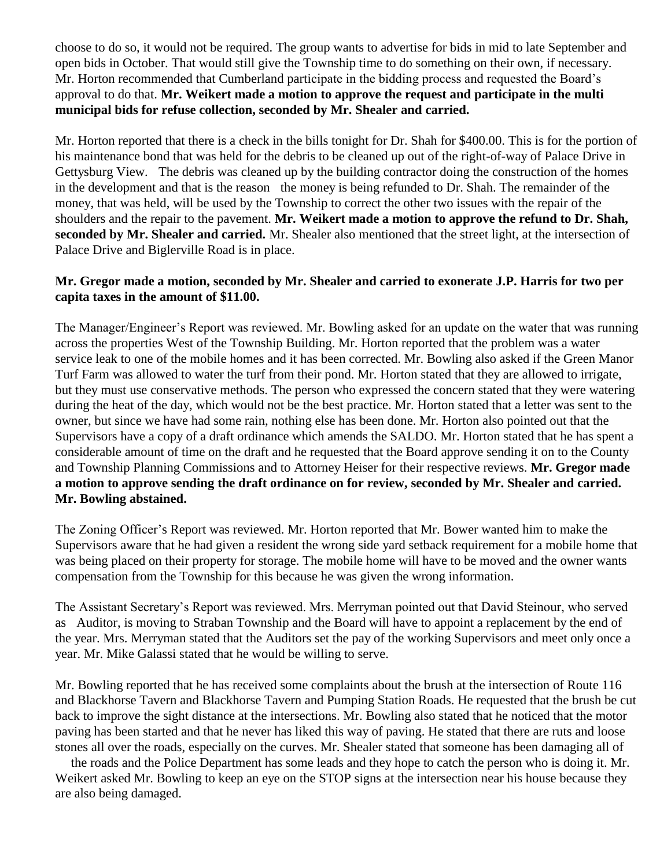choose to do so, it would not be required. The group wants to advertise for bids in mid to late September and open bids in October. That would still give the Township time to do something on their own, if necessary. Mr. Horton recommended that Cumberland participate in the bidding process and requested the Board's approval to do that. **Mr. Weikert made a motion to approve the request and participate in the multi municipal bids for refuse collection, seconded by Mr. Shealer and carried.** 

Mr. Horton reported that there is a check in the bills tonight for Dr. Shah for \$400.00. This is for the portion of his maintenance bond that was held for the debris to be cleaned up out of the right-of-way of Palace Drive in Gettysburg View. The debris was cleaned up by the building contractor doing the construction of the homes in the development and that is the reason the money is being refunded to Dr. Shah. The remainder of the money, that was held, will be used by the Township to correct the other two issues with the repair of the shoulders and the repair to the pavement. **Mr. Weikert made a motion to approve the refund to Dr. Shah, seconded by Mr. Shealer and carried.** Mr. Shealer also mentioned that the street light, at the intersection of Palace Drive and Biglerville Road is in place.

## **Mr. Gregor made a motion, seconded by Mr. Shealer and carried to exonerate J.P. Harris for two per capita taxes in the amount of \$11.00.**

The Manager/Engineer's Report was reviewed. Mr. Bowling asked for an update on the water that was running across the properties West of the Township Building. Mr. Horton reported that the problem was a water service leak to one of the mobile homes and it has been corrected. Mr. Bowling also asked if the Green Manor Turf Farm was allowed to water the turf from their pond. Mr. Horton stated that they are allowed to irrigate, but they must use conservative methods. The person who expressed the concern stated that they were watering during the heat of the day, which would not be the best practice. Mr. Horton stated that a letter was sent to the owner, but since we have had some rain, nothing else has been done. Mr. Horton also pointed out that the Supervisors have a copy of a draft ordinance which amends the SALDO. Mr. Horton stated that he has spent a considerable amount of time on the draft and he requested that the Board approve sending it on to the County and Township Planning Commissions and to Attorney Heiser for their respective reviews. **Mr. Gregor made a motion to approve sending the draft ordinance on for review, seconded by Mr. Shealer and carried. Mr. Bowling abstained.** 

The Zoning Officer's Report was reviewed. Mr. Horton reported that Mr. Bower wanted him to make the Supervisors aware that he had given a resident the wrong side yard setback requirement for a mobile home that was being placed on their property for storage. The mobile home will have to be moved and the owner wants compensation from the Township for this because he was given the wrong information.

The Assistant Secretary's Report was reviewed. Mrs. Merryman pointed out that David Steinour, who served as Auditor, is moving to Straban Township and the Board will have to appoint a replacement by the end of the year. Mrs. Merryman stated that the Auditors set the pay of the working Supervisors and meet only once a year. Mr. Mike Galassi stated that he would be willing to serve.

Mr. Bowling reported that he has received some complaints about the brush at the intersection of Route 116 and Blackhorse Tavern and Blackhorse Tavern and Pumping Station Roads. He requested that the brush be cut back to improve the sight distance at the intersections. Mr. Bowling also stated that he noticed that the motor paving has been started and that he never has liked this way of paving. He stated that there are ruts and loose stones all over the roads, especially on the curves. Mr. Shealer stated that someone has been damaging all of

 the roads and the Police Department has some leads and they hope to catch the person who is doing it. Mr. Weikert asked Mr. Bowling to keep an eye on the STOP signs at the intersection near his house because they are also being damaged.